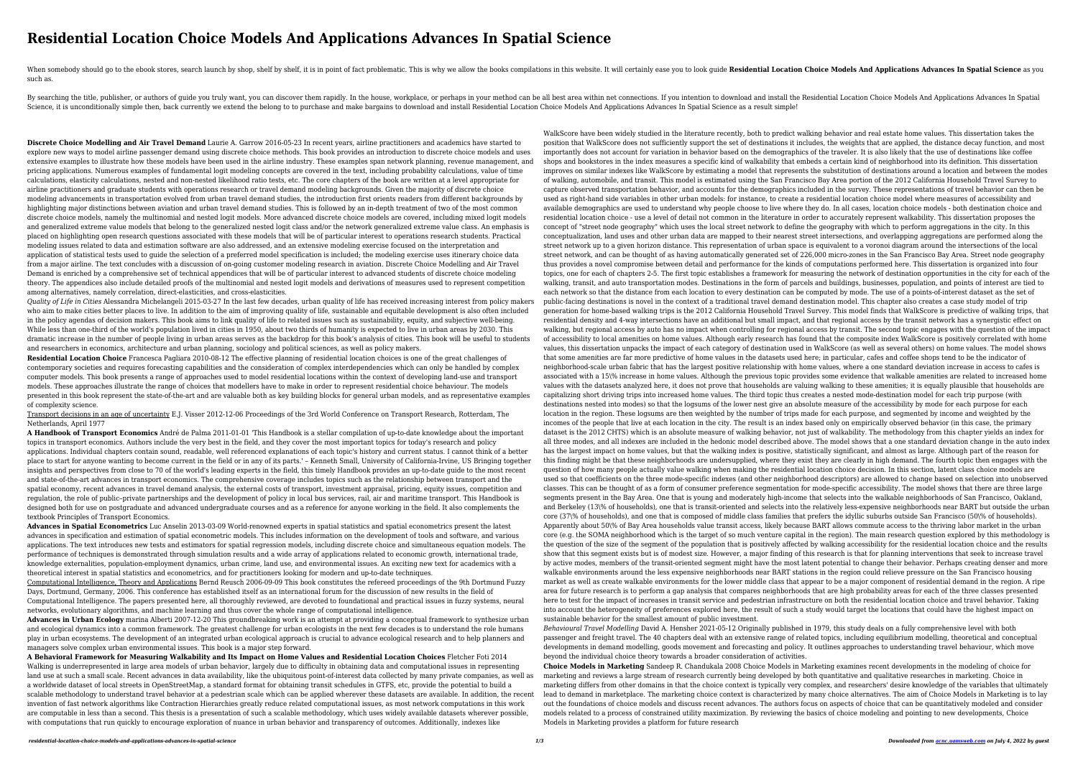## **Residential Location Choice Models And Applications Advances In Spatial Science**

When somebody should go to the ebook stores, search launch by shop, shelf by shelf, it is in point of fact problematic. This is why we allow the books compilations in this website. It will certainly ease you to look guide such as.

By searching the title, publisher, or authors of guide you truly want, you can discover them rapidly. In the house, workplace, or perhaps in your method can be all best area within net connections. If you intention to down Science, it is unconditionally simple then, back currently we extend the belong to to purchase and make bargains to download and install Residential Location Choice Models And Applications Advances In Spatial Science as a

**Discrete Choice Modelling and Air Travel Demand** Laurie A. Garrow 2016-05-23 In recent years, airline practitioners and academics have started to explore new ways to model airline passenger demand using discrete choice methods. This book provides an introduction to discrete choice models and uses extensive examples to illustrate how these models have been used in the airline industry. These examples span network planning, revenue management, and pricing applications. Numerous examples of fundamental logit modeling concepts are covered in the text, including probability calculations, value of time calculations, elasticity calculations, nested and non-nested likelihood ratio tests, etc. The core chapters of the book are written at a level appropriate for airline practitioners and graduate students with operations research or travel demand modeling backgrounds. Given the majority of discrete choice modeling advancements in transportation evolved from urban travel demand studies, the introduction first orients readers from different backgrounds by highlighting major distinctions between aviation and urban travel demand studies. This is followed by an in-depth treatment of two of the most common discrete choice models, namely the multinomial and nested logit models. More advanced discrete choice models are covered, including mixed logit models and generalized extreme value models that belong to the generalized nested logit class and/or the network generalized extreme value class. An emphasis is placed on highlighting open research questions associated with these models that will be of particular interest to operations research students. Practical modeling issues related to data and estimation software are also addressed, and an extensive modeling exercise focused on the interpretation and application of statistical tests used to guide the selection of a preferred model specification is included; the modeling exercise uses itinerary choice data from a major airline. The text concludes with a discussion of on-going customer modeling research in aviation. Discrete Choice Modelling and Air Travel Demand is enriched by a comprehensive set of technical appendices that will be of particular interest to advanced students of discrete choice modeling theory. The appendices also include detailed proofs of the multinomial and nested logit models and derivations of measures used to represent competition among alternatives, namely correlation, direct-elasticities, and cross-elasticities.

*Quality of Life in Cities* Alessandra Michelangeli 2015-03-27 In the last few decades, urban quality of life has received increasing interest from policy makers who aim to make cities better places to live. In addition to the aim of improving quality of life, sustainable and equitable development is also often included in the policy agendas of decision makers. This book aims to link quality of life to related issues such as sustainability, equity, and subjective well-being. While less than one-third of the world's population lived in cities in 1950, about two thirds of humanity is expected to live in urban areas by 2030. This dramatic increase in the number of people living in urban areas serves as the backdrop for this book's analysis of cities. This book will be useful to students and researchers in economics, architecture and urban planning, sociology and political sciences, as well as policy makers.

**Residential Location Choice** Francesca Pagliara 2010-08-12 The effective planning of residential location choices is one of the great challenges of contemporary societies and requires forecasting capabilities and the consideration of complex interdependencies which can only be handled by complex computer models. This book presents a range of approaches used to model residential locations within the context of developing land-use and transport models. These approaches illustrate the range of choices that modellers have to make in order to represent residential choice behaviour. The models presented in this book represent the state-of-the-art and are valuable both as key building blocks for general urban models, and as representative examples of complexity science.

Transport decisions in an age of uncertainty E.J. Visser 2012-12-06 Proceedings of the 3rd World Conference on Transport Research, Rotterdam, The Netherlands, April 1977

**A Handbook of Transport Economics** André de Palma 2011-01-01 'This Handbook is a stellar compilation of up-to-date knowledge about the important topics in transport economics. Authors include the very best in the field, and they cover the most important topics for today's research and policy applications. Individual chapters contain sound, readable, well referenced explanations of each topic's history and current status. I cannot think of a better place to start for anyone wanting to become current in the field or in any of its parts.' – Kenneth Small, University of California-Irvine, US Bringing together insights and perspectives from close to 70 of the world's leading experts in the field, this timely Handbook provides an up-to-date guide to the most recent and state-of-the-art advances in transport economics. The comprehensive coverage includes topics such as the relationship between transport and the spatial economy, recent advances in travel demand analysis, the external costs of transport, investment appraisal, pricing, equity issues, competition and regulation, the role of public–private partnerships and the development of policy in local bus services, rail, air and maritime transport. This Handbook is designed both for use on postgraduate and advanced undergraduate courses and as a reference for anyone working in the field. It also complements the textbook Principles of Transport Economics.

**Advances in Spatial Econometrics** Luc Anselin 2013-03-09 World-renowned experts in spatial statistics and spatial econometrics present the latest advances in specification and estimation of spatial econometric models. This includes information on the development of tools and software, and various applications. The text introduces new tests and estimators for spatial regression models, including discrete choice and simultaneous equation models. The performance of techniques is demonstrated through simulation results and a wide array of applications related to economic growth, international trade, knowledge externalities, population-employment dynamics, urban crime, land use, and environmental issues. An exciting new text for academics with a theoretical interest in spatial statistics and econometrics, and for practitioners looking for modern and up-to-date techniques.

Computational Intelligence, Theory and Applications Bernd Reusch 2006-09-09 This book constitutes the refereed proceedings of the 9th Dortmund Fuzzy Days, Dortmund, Germany, 2006. This conference has established itself as an international forum for the discussion of new results in the field of Computational Intelligence. The papers presented here, all thoroughly reviewed, are devoted to foundational and practical issues in fuzzy systems, neural networks, evolutionary algorithms, and machine learning and thus cover the whole range of computational intelligence.

**Advances in Urban Ecology** marina Alberti 2007-12-20 This groundbreaking work is an attempt at providing a conceptual framework to synthesize urban and ecological dynamics into a common framework. The greatest challenge for urban ecologists in the next few decades is to understand the role humans play in urban ecosystems. The development of an integrated urban ecological approach is crucial to advance ecological research and to help planners and managers solve complex urban environmental issues. This book is a major step forward.

**A Behavioral Framework for Measuring Walkability and Its Impact on Home Values and Residential Location Choices** Fletcher Foti 2014 Walking is underrepresented in large area models of urban behavior, largely due to difficulty in obtaining data and computational issues in representing land use at such a small scale. Recent advances in data availability, like the ubiquitous point-of-interest data collected by many private companies, as well as a worldwide dataset of local streets in OpenStreetMap, a standard format for obtaining transit schedules in GTFS, etc, provide the potential to build a scalable methodology to understand travel behavior at a pedestrian scale which can be applied wherever these datasets are available. In addition, the recent invention of fast network algorithms like Contraction Hierarchies greatly reduce related computational issues, as most network computations in this work are computable in less than a second. This thesis is a presentation of such a scalable methodology, which uses widely available datasets wherever possible, with computations that run quickly to encourage exploration of nuance in urban behavior and transparency of outcomes. Additionally, indexes like

WalkScore have been widely studied in the literature recently, both to predict walking behavior and real estate home values. This dissertation takes the position that WalkScore does not sufficiently support the set of destinations it includes, the weights that are applied, the distance decay function, and most importantly does not account for variation in behavior based on the demographics of the traveler. It is also likely that the use of destinations like coffee shops and bookstores in the index measures a specific kind of walkability that embeds a certain kind of neighborhood into its definition. This dissertation improves on similar indexes like WalkScore by estimating a model that represents the substitution of destinations around a location and between the modes of walking, automobile, and transit. This model is estimated using the San Francisco Bay Area portion of the 2012 California Household Travel Survey to capture observed transportation behavior, and accounts for the demographics included in the survey. These representations of travel behavior can then be used as right-hand side variables in other urban models: for instance, to create a residential location choice model where measures of accessibility and available demographics are used to understand why people choose to live where they do. In all cases, location choice models - both destination choice and residential location choice - use a level of detail not common in the literature in order to accurately represent walkability. This dissertation proposes the concept of "street node geography" which uses the local street network to define the geography with which to perform aggregations in the city. In this conceptualization, land uses and other urban data are mapped to their nearest street intersections, and overlapping aggregations are performed along the street network up to a given horizon distance. This representation of urban space is equivalent to a voronoi diagram around the intersections of the local street network, and can be thought of as having automatically generated set of 226,000 micro-zones in the San Francisco Bay Area. Street node geography thus provides a novel compromise between detail and performance for the kinds of computations performed here. This dissertation is organized into four topics, one for each of chapters 2-5. The first topic establishes a framework for measuring the network of destination opportunities in the city for each of the walking, transit, and auto transportation modes. Destinations in the form of parcels and buildings, businesses, population, and points of interest are tied to each network so that the distance from each location to every destination can be computed by mode. The use of a points-of-interest dataset as the set of public-facing destinations is novel in the context of a traditional travel demand destination model. This chapter also creates a case study model of trip generation for home-based walking trips is the 2012 California Household Travel Survey. This model finds that WalkScore is predictive of walking trips, that residential density and 4-way intersections have an additional but small impact, and that regional access by the transit network has a synergistic effect on walking, but regional access by auto has no impact when controlling for regional access by transit. The second topic engages with the question of the impact of accessibility to local amenities on home values. Although early research has found that the composite index WalkScore is positively correlated with home values, this dissertation unpacks the impact of each category of destination used in WalkScore (as well as several others) on home values. The model shows that some amenities are far more predictive of home values in the datasets used here; in particular, cafes and coffee shops tend to be the indicator of neighborhood-scale urban fabric that has the largest positive relationship with home values, where a one standard deviation increase in access to cafes is associated with a 15\% increase in home values. Although the previous topic provides some evidence that walkable amenities are related to increased home values with the datasets analyzed here, it does not prove that households are valuing walking to these amenities; it is equally plausible that households are capitalizing short driving trips into increased home values. The third topic thus creates a nested mode-destination model for each trip purpose (with destinations nested into modes) so that the logsums of the lower nest give an absolute measure of the accessibility by mode for each purpose for each location in the region. These logsums are then weighted by the number of trips made for each purpose, and segmented by income and weighted by the incomes of the people that live at each location in the city. The result is an index based only on empirically observed behavior (in this case, the primary dataset is the 2012 CHTS) which is an absolute measure of walking behavior, not just of walkability. The methodology from this chapter yields an index for all three modes, and all indexes are included in the hedonic model described above. The model shows that a one standard deviation change in the auto index has the largest impact on home values, but that the walking index is positive, statistically significant, and almost as large. Although part of the reason for this finding might be that these neighborhoods are undersupplied, where they exist they are clearly in high demand. The fourth topic then engages with the question of how many people actually value walking when making the residential location choice decision. In this section, latent class choice models are used so that coefficients on the three mode-specific indexes (and other neighborhood descriptors) are allowed to change based on selection into unobserved classes. This can be thought of as a form of consumer preference segmentation for mode-specific accessibility. The model shows that there are three large segments present in the Bay Area. One that is young and moderately high-income that selects into the walkable neighborhoods of San Francisco, Oakland, and Berkeley (13\% of households), one that is transit-oriented and selects into the relatively less-expensive neighborhoods near BART but outside the urban core (37\% of households), and one that is composed of middle class families that prefers the idyllic suburbs outside San Francisco (50\% of households). Apparently about 50\% of Bay Area households value transit access, likely because BART allows commute access to the thriving labor market in the urban core (e.g. the SOMA neighborhood which is the target of so much venture capital in the region). The main research question explored by this methodology is the question of the size of the segment of the population that is positively affected by walking accessibility for the residential location choice and the results show that this segment exists but is of modest size. However, a major finding of this research is that for planning interventions that seek to increase travel by active modes, members of the transit-oriented segment might have the most latent potential to change their behavior. Perhaps creating denser and more walkable environments around the less expensive neighborhoods near BART stations in the region could relieve pressure on the San Francisco housing market as well as create walkable environments for the lower middle class that appear to be a major component of residential demand in the region. A ripe area for future research is to perform a gap analysis that compares neighborhoods that are high probability areas for each of the three classes presented here to test for the impact of increases in transit service and pedestrian infrastructure on both the residential location choice and travel behavior. Taking into account the heterogeneity of preferences explored here, the result of such a study would target the locations that could have the highest impact on sustainable behavior for the smallest amount of public investment.

*Behavioural Travel Modelling* David A. Hensher 2021-05-12 Originally published in 1979, this study deals on a fully comprehensive level with both passenger and freight travel. The 40 chapters deal with an extensive range of related topics, including equilibrium modelling, theoretical and conceptual developments in demand modelling, goods movement and forecasting and policy. It outlines approaches to understanding travel behaviour, which move beyond the individual choice theory towards a broader consideration of activities.

**Choice Models in Marketing** Sandeep R. Chandukala 2008 Choice Models in Marketing examines recent developments in the modeling of choice for marketing and reviews a large stream of research currently being developed by both quantitative and qualitative researches in marketing. Choice in marketing differs from other domains in that the choice context is typically very complex, and researchers' desire knowledge of the variables that ultimately lead to demand in marketplace. The marketing choice context is characterized by many choice alternatives. The aim of Choice Models in Marketing is to lay out the foundations of choice models and discuss recent advances. The authors focus on aspects of choice that can be quantitatively modeled and consider models related to a process of constrained utility maximization. By reviewing the basics of choice modeling and pointing to new developments, Choice Models in Marketing provides a platform for future research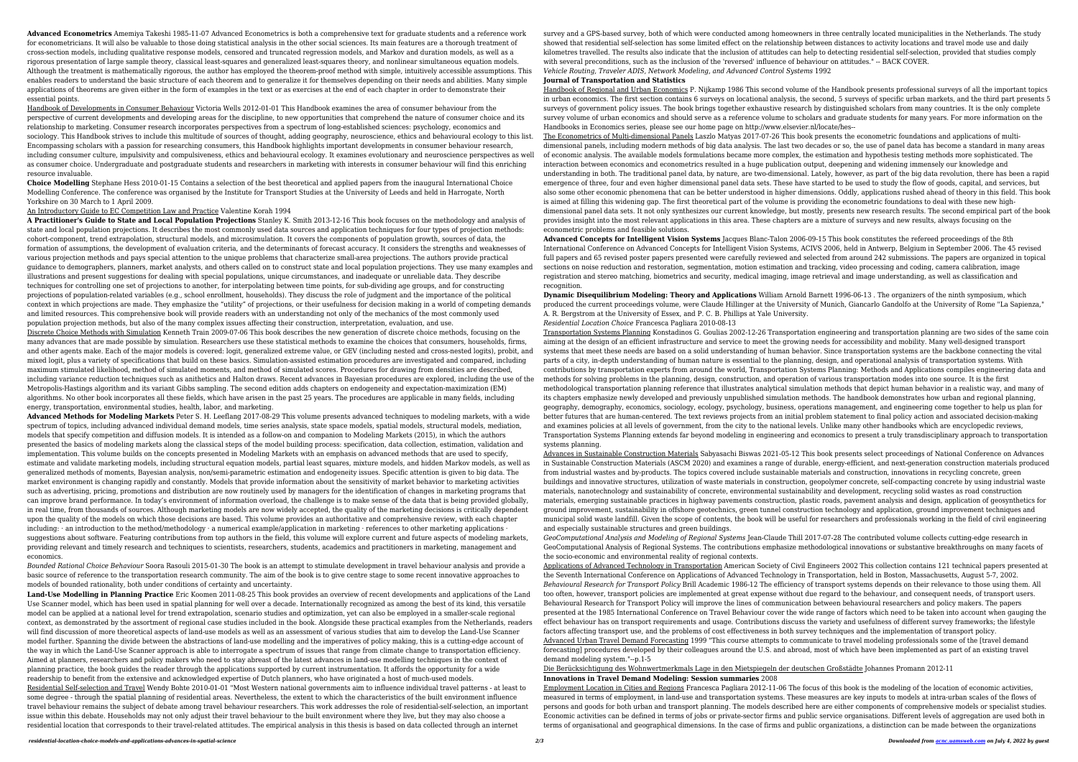**Advanced Econometrics** Amemiya Takeshi 1985-11-07 Advanced Econometrics is both a comprehensive text for graduate students and a reference work for econometricians. It will also be valuable to those doing statistical analysis in the other social sciences. Its main features are a thorough treatment of cross-section models, including qualitative response models, censored and truncated regression models, and Markov and duration models, as well as a rigorous presentation of large sample theory, classical least-squares and generalized least-squares theory, and nonlinear simultaneous equation models. Although the treatment is mathematically rigorous, the author has employed the theorem-proof method with simple, intuitively accessible assumptions. This enables readers to understand the basic structure of each theorem and to generalize it for themselves depending on their needs and abilities. Many simple applications of theorems are given either in the form of examples in the text or as exercises at the end of each chapter in order to demonstrate their essential points.

Handbook of Developments in Consumer Behaviour Victoria Wells 2012-01-01 This Handbook examines the area of consumer behaviour from the perspective of current developments and developing areas for the discipline, to new opportunities that comprehend the nature of consumer choice and its relationship to marketing. Consumer research incorporates perspectives from a spectrum of long-established sciences: psychology, economics and sociology. This Handbook strives to include this multitude of sources of thought, adding geography, neuroscience, ethics and behavioural ecology to this list. Encompassing scholars with a passion for researching consumers, this Handbook highlights important developments in consumer behaviour research, including consumer culture, impulsivity and compulsiveness, ethics and behavioural ecology. It examines evolutionary and neuroscience perspectives as well as consumer choice. Undergraduate and postgraduate students and researchers in marketing with interests in consumer behaviour will find this enriching resource invaluable.

**Choice Modelling** Stephane Hess 2010-01-15 Contains a selection of the best theoretical and applied papers from the inaugural International Choice Modelling Conference. The conference was organised by the Institute for Transport Studies at the University of Leeds and held in Harrogate, North Yorkshire on 30 March to 1 April 2009.

## An Introductory Guide to EC Competition Law and Practice Valentine Korah 1994

**A Practitioner's Guide to State and Local Population Projections** Stanley K. Smith 2013-12-16 This book focuses on the methodology and analysis of state and local population projections. It describes the most commonly used data sources and application techniques for four types of projection methods: cohort-component, trend extrapolation, structural models, and microsimulation. It covers the components of population growth, sources of data, the formation of assumptions, the development of evaluation criteria, and the determinants of forecast accuracy. It considers the strengths and weaknesses of various projection methods and pays special attention to the unique problems that characterize small-area projections. The authors provide practical guidance to demographers, planners, market analysts, and others called on to construct state and local population projections. They use many examples and illustrations and present suggestions for dealing with special populations, unique circumstances, and inadequate or unreliable data. They describe techniques for controlling one set of projections to another, for interpolating between time points, for sub-dividing age groups, and for constructing projections of population-related variables (e.g., school enrollment, households). They discuss the role of judgment and the importance of the political context in which projections are made. They emphasize the "utility" of projections, or their usefulness for decision making in a world of competing demands and limited resources. This comprehensive book will provide readers with an understanding not only of the mechanics of the most commonly used population projection methods, but also of the many complex issues affecting their construction, interpretation, evaluation, and use. Discrete Choice Methods with Simulation Kenneth Train 2009-07-06 This book describes the new generation of discrete choice methods, focusing on the

many advances that are made possible by simulation. Researchers use these statistical methods to examine the choices that consumers, households, firms, and other agents make. Each of the major models is covered: logit, generalized extreme value, or GEV (including nested and cross-nested logits), probit, and mixed logit, plus a variety of specifications that build on these basics. Simulation-assisted estimation procedures are investigated and compared, including maximum stimulated likelihood, method of simulated moments, and method of simulated scores. Procedures for drawing from densities are described, including variance reduction techniques such as anithetics and Halton draws. Recent advances in Bayesian procedures are explored, including the use of the Metropolis-Hastings algorithm and its variant Gibbs sampling. The second edition adds chapters on endogeneity and expectation-maximization (EM) algorithms. No other book incorporates all these fields, which have arisen in the past 25 years. The procedures are applicable in many fields, including energy, transportation, environmental studies, health, labor, and marketing.

**Advanced Methods for Modeling Markets** Peter S. H. Leeflang 2017-08-29 This volume presents advanced techniques to modeling markets, with a wide spectrum of topics, including advanced individual demand models, time series analysis, state space models, spatial models, structural models, mediation, models that specify competition and diffusion models. It is intended as a follow-on and companion to Modeling Markets (2015), in which the authors presented the basics of modeling markets along the classical steps of the model building process: specification, data collection, estimation, validation and implementation. This volume builds on the concepts presented in Modeling Markets with an emphasis on advanced methods that are used to specify, estimate and validate marketing models, including structural equation models, partial least squares, mixture models, and hidden Markov models, as well as generalized methods of moments, Bayesian analysis, non/semi-parametric estimation and endogeneity issues. Specific attention is given to big data. The market environment is changing rapidly and constantly. Models that provide information about the sensitivity of market behavior to marketing activities such as advertising, pricing, promotions and distribution are now routinely used by managers for the identification of changes in marketing programs that can improve brand performance. In today's environment of information overload, the challenge is to make sense of the data that is being provided globally, in real time, from thousands of sources. Although marketing models are now widely accepted, the quality of the marketing decisions is critically dependent upon the quality of the models on which those decisions are based. This volume provides an authoritative and comprehensive review, with each chapter including:  $\cdot$  an introduction to the method/methodology  $\cdot$  a numerical example/application in marketing  $\cdot$  references to other marketing applications  $\cdot$ suggestions about software. Featuring contributions from top authors in the field, this volume will explore current and future aspects of modeling markets, providing relevant and timely research and techniques to scientists, researchers, students, academics and practitioners in marketing, management and economics.

*Bounded Rational Choice Behaviour* Soora Rasouli 2015-01-30 The book is an attempt to stimulate development in travel behaviour analysis and provide a basic source of reference to the transportation research community. The aim of the book is to give centre stage to some recent innovative approaches to models of bounded rationality, both under conditions of certainty and uncertainty.

**Land-Use Modelling in Planning Practice** Eric Koomen 2011-08-25 This book provides an overview of recent developments and applications of the Land Use Scanner model, which has been used in spatial planning for well over a decade. Internationally recognized as among the best of its kind, this versatile model can be applied at a national level for trend extrapolation, scenario studies and optimization, yet can also be employed in a smaller-scale regional context, as demonstrated by the assortment of regional case studies included in the book. Alongside these practical examples from the Netherlands, readers will find discussion of more theoretical aspects of land-use models as well as an assessment of various studies that aim to develop the Land-Use Scanner model further. Spanning the divide between the abstractions of land-use modelling and the imperatives of policy making, this is a cutting-edge account of the way in which the Land-Use Scanner approach is able to interrogate a spectrum of issues that range from climate change to transportation efficiency. Aimed at planners, researchers and policy makers who need to stay abreast of the latest advances in land-use modelling techniques in the context of planning practice, the book guides the reader through the applications supported by current instrumentation. It affords the opportunity for a wide readership to benefit from the extensive and acknowledged expertise of Dutch planners, who have originated a host of much-used models. Residential Self-selection and Travel Wendy Bohte 2010-01-01 "Most Western national governments aim to influence individual travel patterns - at least to some degree - through the spatial planning of residential areas. Nevertheless, the extent to which the characteristics of the built environment influence travel behaviour remains the subject of debate among travel behaviour researchers. This work addresses the role of residential-self-selection, an important issue within this debate. Households may not only adjust their travel behaviour to the built environment where they live, but they may also choose a residential location that corresponds to their travel-related attitudes. The empirical analysis in this thesis is based on data collected through an internet

survey and a GPS-based survey, both of which were conducted among homeowners in three centrally located municipalities in the Netherlands. The study showed that residential self-selection has some limited effect on the relationship between distances to activity locations and travel mode use and daily kilometres travelled. The results also indicate that the inclusion of attitudes can help to detecting residential self-selection, provided that studies comply with several preconditions, such as the inclusion of the 'reversed' influence of behaviour on attitudes." -- BACK COVER. *Vehicle Routing, Traveler ADIS, Network Modeling, and Advanced Control Systems* 1992

## **Journal of Transportation and Statistics**

Handbook of Regional and Urban Economics P. Nijkamp 1986 This second volume of the Handbook presents professional surveys of all the important topics in urban economics. The first section contains 6 surveys on locational analysis, the second, 5 surveys of specific urban markets, and the third part presents 5 surveys of government policy issues. The book brings together exhaustive research by distinguished scholars from many countries. It is the only complete survey volume of urban economics and should serve as a reference volume to scholars and graduate students for many years. For more information on the Handbooks in Economics series, please see our home page on http://www.elsevier.nl/locate/hes--

The Econometrics of Multi-dimensional Panels Laszlo Matyas 2017-07-26 This book presents the econometric foundations and applications of multidimensional panels, including modern methods of big data analysis. The last two decades or so, the use of panel data has become a standard in many areas of economic analysis. The available models formulations became more complex, the estimation and hypothesis testing methods more sophisticated. The interaction between economics and econometrics resulted in a huge publication output, deepening and widening immensely our knowledge and understanding in both. The traditional panel data, by nature, are two-dimensional. Lately, however, as part of the big data revolution, there has been a rapid emergence of three, four and even higher dimensional panel data sets. These have started to be used to study the flow of goods, capital, and services, but also some other economic phenomena that can be better understood in higher dimensions. Oddly, applications rushed ahead of theory in this field. This book is aimed at filling this widening gap. The first theoretical part of the volume is providing the econometric foundations to deal with these new highdimensional panel data sets. It not only synthesizes our current knowledge, but mostly, presents new research results. The second empirical part of the book provides insight into the most relevant applications in this area. These chapters are a mixture of surveys and new results, always focusing on the econometric problems and feasible solutions.

**Advanced Concepts for Intelligent Vision Systems** Jacques Blanc-Talon 2006-09-15 This book constitutes the refereed proceedings of the 8th International Conference on Advanced Concepts for Intelligent Vision Systems, ACIVS 2006, held in Antwerp, Belgium in September 2006. The 45 revised full papers and 65 revised poster papers presented were carefully reviewed and selected from around 242 submissions. The papers are organized in topical sections on noise reduction and restoration, segmentation, motion estimation and tracking, video processing and coding, camera calibration, image registration and stereo matching, biometrics and security, medical imaging, image retrieval and image understanding, as well as classification and

**Dynamic Disequilibrium Modeling: Theory and Applications** William Arnold Barnett 1996-06-13 . The organizers of the ninth symposium, which produced the current proceedings volume, were Claude Hillinger at the University of Munich, Giancarlo Gandolfo at the University of Rome "La Sapienza," A. R. Bergstrom at the University of Essex, and P. C. B. Phillips at Yale University.

*Residential Location Choice* Francesca Pagliara 2010-08-13

recognition. systems planning.

Transportation Systems Planning Konstadinos G. Goulias 2002-12-26 Transportation engineering and transportation planning are two sides of the same coin aiming at the design of an efficient infrastructure and service to meet the growing needs for accessibility and mobility. Many well-designed transport systems that meet these needs are based on a solid understanding of human behavior. Since transportation systems are the backbone connecting the vital parts of a city, in-depth understanding of human nature is essential to the planning, design, and operational analysis of transportation systems. With contributions by transportation experts from around the world, Transportation Systems Planning: Methods and Applications compiles engineering data and methods for solving problems in the planning, design, construction, and operation of various transportation modes into one source. It is the first methodological transportation planning reference that illustrates analytical simulation methods that depict human behavior in a realistic way, and many of its chapters emphasize newly developed and previously unpublished simulation methods. The handbook demonstrates how urban and regional planning, geography, demography, economics, sociology, ecology, psychology, business, operations management, and engineering come together to help us plan for better futures that are human-centered. The text reviews projects from an initial problem statement to final policy action and associated decision-making and examines policies at all levels of government, from the city to the national levels. Unlike many other handbooks which are encyclopedic reviews, Transportation Systems Planning extends far beyond modeling in engineering and economics to present a truly transdisciplinary approach to transportation

Advances in Sustainable Construction Materials Sabyasachi Biswas 2021-05-12 This book presents select proceedings of National Conference on Advances in Sustainable Construction Materials (ASCM 2020) and examines a range of durable, energy-efficient, and next-generation construction materials produced from industrial wastes and by-products. The topics covered include sustainable materials and construction, innovations in recycling concrete, green buildings and innovative structures, utilization of waste materials in construction, geopolymer concrete, self-compacting concrete by using industrial waste materials, nanotechnology and sustainability of concrete, environmental sustainability and development, recycling solid wastes as road construction materials, emerging sustainable practices in highway pavements construction, plastic roads, pavement analysis and design, application of geosynthetics for ground improvement, sustainability in offshore geotechnics, green tunnel construction technology and application, ground improvement techniques and municipal solid waste landfill. Given the scope of contents, the book will be useful for researchers and professionals working in the field of civil engineering and especially sustainable structures and green buildings.

*GeoComputational Analysis and Modeling of Regional Systems* Jean-Claude Thill 2017-07-28 The contributed volume collects cutting-edge research in GeoComputational Analysis of Regional Systems. The contributions emphasize methodological innovations or substantive breakthroughs on many facets of the socio-economic and environmental reality of regional contexts.

Applications of Advanced Technology in Transportation American Society of Civil Engineers 2002 This collection contains 121 technical papers presented at the Seventh International Conference on Applications of Advanced Technology in Transportation, held in Boston, Massachusetts, August 5-7, 2002. *Behavioural Research for Transport Policy* Brill Academic 1986-12 The efficiency of transport systems depends on their relevance to those using them. All too often, however, transport policies are implemented at great expense without due regard to the behaviour, and consequent needs, of transport users. Behavioural Research for Transport Policy will improve the lines of communication between behavioural researchers and policy makers. The papers presented at the 1985 International Conference on Travel Behaviour cover the wide range of factors which need to be taken into account when gauging the effect behaviour has on transport requirements and usage. Contributions discuss the variety and usefulness of different survey frameworks; the lifestyle factors affecting transport use, and the problems of cost effectiveness in both survey techniques and the implementation of transport policy. Advanced Urban Travel Demand Forecasting 1999 "This course attempts to communicate to travel modeling professionals some of the [travel demand forecasting] procedures developed by their colleagues around the U.S. and abroad, most of which have been implemented as part of an existing travel demand modeling system."--p.1-5

Die Berücksichtigung des Wohnwertmerkmals Lage in den Mietspiegeln der deutschen Großstädte Johannes Promann 2012-11 **Innovations in Travel Demand Modeling: Session summaries** 2008

Employment Location in Cities and Regions Francesca Pagliara 2012-11-06 The focus of this book is the modeling of the location of economic activities, measured in terms of employment, in land-use and transportation systems. These measures are key inputs to models at intra-urban scales of the flows of persons and goods for both urban and transport planning. The models described here are either components of comprehensive models or specialist studies. Economic activities can be defined in terms of jobs or private-sector firms and public service organisations. Different levels of aggregation are used both in terms of organisational and geographical dimensions. In the case of firms and public organizations, a distinction can be made between the organizations